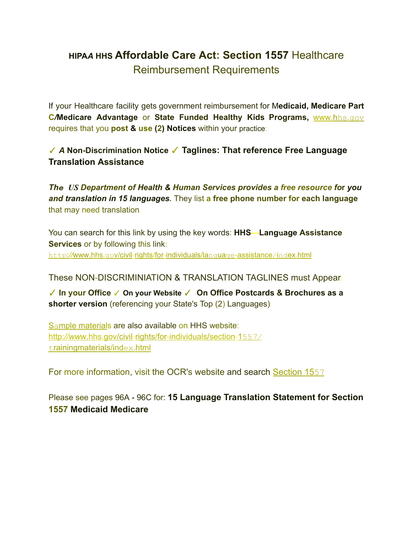# **HIPA***A* **HHS Affordable Care Act: Section 1557** Healthcare Reimbursement Requirements

If your Healthcare facility gets government reimbursement for M**edicaid, Medicare Part C***/***Medicare Advantage** or **State Funded Healthy Kids Programs,** www.hhs.gov requires that you **post & use (2) Notices** within your practice:

# ✓ *A* **Non-Discrimination Notice** ✓ **Taglines: That reference Free Language Translation Assistance**

*The US Department of Health & Human Services provides a free resource fo***r** *you and translation in 15 languages.* They list **a free phone number for each language** that may need translation.

You can search for this link by using the key words: **HHS—Language Assistance Services** or by following this link: http:*//*www.hhs.gov/civil-rights/for-individuals/language-assistance/index.html

These NON-DISCRIMINIATION & TRANSLATION TAGLINES must Appear:

✓ **In your Office** ✓ **On your Website** ✓ **On Office Postcards & Brochures as a shorter version** (referencing your State's Top (2) Languages)

Sample materials are also available on HHS website: http:*//ww*w.hhs.gov/civil-rights/for-individuals/section-155*7/* trainingmaterials/index.html

For more information, visit the OCR's website and search Section 1557

Please see pages 96A - 96C for: **15 Language Translation Statement for Section 1557 Medicaid Medicare**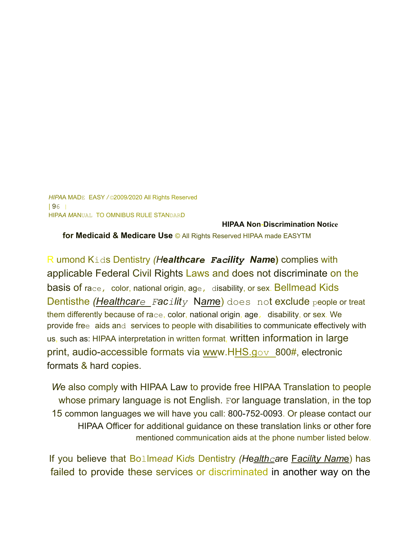*HIPA*A MADE EASY */ ©*2009*/*2020 All Rights Reserved | 96 | HIPA*A M*ANUAL TO OMNIBUS RULE STANDARD

**HIPAA Non-Discrimination Notice for Medicaid & Medicare Use** © All Rights Reserved HIPAA made EASYTM

R umond Kids Dentistry *(H***e***althcare Facility Nam***e)** complies with applicable Federal Civil Rights Laws and does not discriminate on the basis of race, color, national origin, age, disability, or sex. Bellmead Kids Dentisthe *(Healthcare Facility* N*am*e) does not exclude people or treat them differently because of race, color, national origin, age, disability, or sex. We provide free aids and services to people with disabilities to communicate effectively with us, such as: HIPAA interpretation in written format, written information in large print, audio-accessible formats via www.HHS.gov 800#, electronic formats & hard copies.

*W*e also comply with HIPAA Law to provide free HIPAA Translation to people whose primary language is not English. For language translation, in the top 15 common languages we will have you call: 800-752-0093. Or please contact our HIPAA Officer for additional guidance on these translation links or other fore mentioned communication aids at the phone number listed below.

If you believe that Bollm*ead* Ki*d*s Dentistry *(H*e*althca*re F*acili*t*y Nam*e) has failed to provide these services or discriminated in another way on the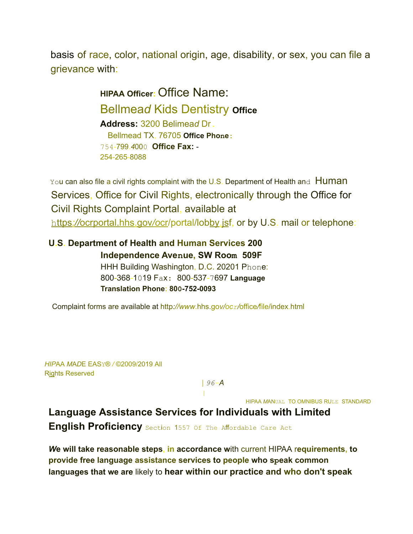basis of race, color, national origin, age, disability, or sex, you can file a grievance with:

> **HIPAA Officer:** Office Name: Bellmea*d* Kids Dentistry **Office Address:** 3200 Belimea*d* Dr. Bellmead TX, 76705 **Office Phone:** 754-799.*4*000 **Office Fax:** - 254-265-8088

You can also file a civil rights complaint with the U.S. Department of Health and Human Services, Office for Civil Rights, electronically through the Office for Civil Rights Complaint Portal, available at https*://*ocrportal.hhs.gov*/o*cr/portal/lobby.jsf, or by U.S. mail or telephone:

**U.S. Department of Health and Human Services 200 Independence Avenue, SW Room 509F** HHH Building Washington, D.C. 20201 Phone: 800-368-1019 Fax: 800-537-7697 **Language Translation Phone: 800-752-0093**

Complaint forms are available at http*://www*.hhs.go*v/ocr/*office*/*file/index.html

*HIP*AA *M*A*D*E EASY® */* ©2009/2019 All Rights Reserved

*| 96-A*

 $\|$ 

HIPAA *M*ANUAL TO OMNIBUS RULE STAND*A*RD

**Language Assistance Services for Individuals with Limited**

**English Proficiency** Section 1557 Of The Affordable Care Act

*W***e will take reasonable steps, in accordance w**ith current HIPAA r**equirements, to provide free language assistance services to people who speak common languages that we are** likely to **hear within our practice and who don't speak**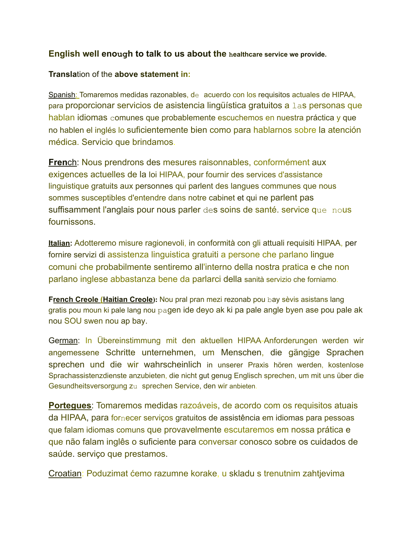# **English well enough to talk to us about the healthcare service we provide.**

#### **Transla**tion of the **above statement in:**

Spanish: Tomaremos medidas razonables, de acuerdo con los requisitos actuales de HIPAA, para proporcionar servicios de asistencia lingüística gratuitos a las personas que hablan idiomas comunes que probablemente escuchemos en nuestra práctica y que no hablen el inglés lo suficientemente bien como para hablarnos sobre la atención médica. Servicio que brindamos.

**French:** Nous prendrons des mesures raisonnables, conformément aux exigences actuelles de la loi HIPAA, pour fournir des services d'assistance linguistique gratuits aux personnes qui parlent des langues communes que nous sommes susceptibles d'entendre dans notre cabinet et qui ne parlent pas suffisamment l'anglais pour nous parler des soins de santé. service que nous fournissons.

**Italian:** Adotteremo misure ragionevoli, in conformità con gli attuali requisiti HIPAA, per fornire servizi di assistenza linguistica gratuiti a persone che parlano lingue comuni che probabilmente sentiremo all'interno della nostra pratica e che non parlano inglese abbastanza bene da parlarci della sanità servizio che forniamo.

**French Creole (Haitian Creole):** Nou pral pran mezi rezonab pou bay sèvis asistans lang gratis pou moun ki pale lang nou pagen ide deyo ak ki pa pale angle byen ase pou pale ak nou SOU swen nou ap bay.

German: In Übereinstimmung mit den aktuellen HIPAA-Anforderungen werden wir angemessene Schritte unternehmen, um Menschen, die gängige Sprachen sprechen und die wir wahrscheinlich in unserer Praxis hören werden, kostenlose Sprachassistenzdienste anzubieten, die nicht gut genug Englisch sprechen, um mit uns über die Gesundheitsversorgung zu sprechen Service, den wir anbieten.

**Portegues**: Tomaremos medidas razoáveis, de acordo com os requisitos atuais da HIPAA, para fornecer serviços gratuitos de assistência em idiomas para pessoas que falam idiomas comuns que provavelmente escutaremos em nossa prática e que não falam inglês o suficiente para conversar conosco sobre os cuidados de saúde. serviço que prestamos.

Croatian: Poduzimat ćemo razumne korake, u skladu s trenutnim zahtjevima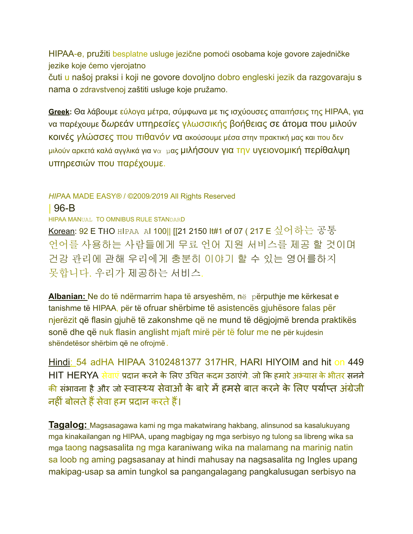HIPAA-e, pružiti besplatne usluge jezične pomoći osobama koje govore zajedničke jezike koje ćemo vjerojatno

čuti u našoj praksi i koji ne govore dovoljno dobro engleski jezik da razgovaraju s nama o zdravstvenoj zaštiti usluge koje pružamo.

**Greek:** Θα λάβουμε εύλογα μέτρα, σύμφωνα με τις ισχύουσες απαιτήσεις της ΗΙΡΑΑ, για να παρέχουμε δ*ω*ρεάν υπηρεσίες γλωσσικής βοήθειας σε άτομα που μιλούν κοινές *γ*λώσσες που πιθανό*ν ν*α ακούσουμε μέσα στην πρακτική μας και που δεν μιλούν αρκετά καλά αγγλικά για να μας μιλήσουν για την υγειονομική περίθαλψη υπηρεσιών που παρέχουμε.

## *HIP*AA MADE EASY® / ©2009*/20*19 All Rights Reserved

| 96-B

HIPAA MANUAL TO OMNIBUS RULE STANDARD

Korean: 92 E THO HIPAA AI 100|| [[21 2150 It#1 of 07 ( 217 E 싶어하는 공통 언어를 사용하는 사람들에게 무료 언어 지원 서비스를 제공 할 것이며 건강 관리에 관해 우리에게 충분히 이야기 할 수 있는 영어를하지 못합니다. 우리가 제공하는 서비스.

**Albanian:** Ne do të ndërmarrim hapa të arsyeshëm, në përputhje me kërkesat e tanishme të HIPAA, për të ofruar shërbime të asistencës gjuhësore falas për njerëzit që flasin gjuhë të zakonshme që ne mund të dëgjojmë brenda praktikës sonë dhe që nuk flasin anglisht mjaft mirë për të folur me ne për kujdesin shëndetësor shërbim që ne ofrojmë.

Hindi: 54 adHA HIPAA 3102481377 317HR, HARI HIYOIM and hit on 449 HIT HERYA सेवाएं प्रदान करने के लिए उचित कदम उठाएंगे, जो कि हमारे अभ्यास के भीतर सनने <u>की</u> संभावना है और जो स्वास्थ्य सेवाओं के बारे में हमसे बात करने के लिए पर्याप्त अंग्रेजी नहीं बोलते हैं सेवा हम प्रदान करते हैं।

**Tagalog:** Magsasagawa kami ng mga makatwirang hakbang, alinsunod sa kasalukuyang mga kinakailangan ng HIPAA, upang magbigay ng mga serbisyo ng tulong sa libreng wika sa mga taong nagsasalita ng mga karaniwang wika na malamang na marinig natin sa loob ng aming pagsasanay at hindi mahusay na nagsasalita ng Ingles upang makipag-usap sa amin tungkol sa pangangalagang pangkalusugan serbisyo na